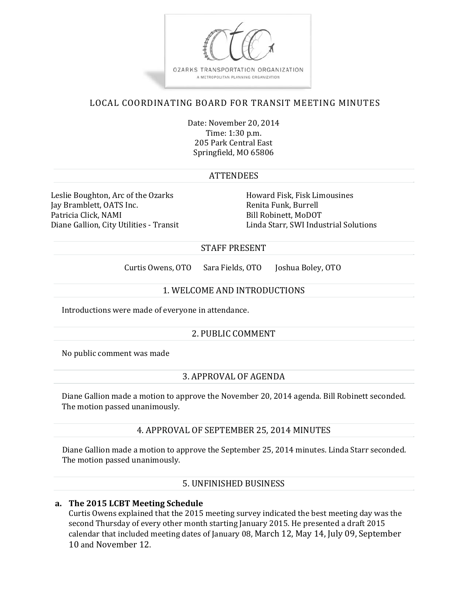

# LOCAL COORDINATING BOARD FOR TRANSIT MEETING MINUTES

Date: November 20, 2014 Time: 1:30 p.m. 205 Park Central East Springfield, MO 65806

#### **ATTENDEES**

Leslie Boughton, Arc of the Ozarks **Howard Fisk, Fisk Limousines** Jay Bramblett, OATS Inc. Renita Funk, Burrell Patricia Click, NAMI Bill Robinett, MoDOT

Diane Gallion, City Utilities - Transit Linda Starr, SWI Industrial Solutions

#### STAFF PRESENT

Curtis Owens, OTO Sara Fields, OTO Joshua Boley, OTO

#### 1. WELCOME AND INTRODUCTIONS

Introductions were made of everyone in attendance.

#### 2. PUBLIC COMMENT

No public comment was made

#### 3. APPROVAL OF AGENDA

Diane Gallion made a motion to approve the November 20, 2014 agenda. Bill Robinett seconded. The motion passed unanimously.

#### 4. APPROVAL OF SEPTEMBER 25, 2014 MINUTES

Diane Gallion made a motion to approve the September 25, 2014 minutes. Linda Starr seconded. The motion passed unanimously.

#### 5. UNFINISHED BUSINESS

#### **a. The 2015 LCBT Meeting Schedule**

Curtis Owens explained that the 2015 meeting survey indicated the best meeting day was the second Thursday of every other month starting January 2015. He presented a draft 2015 calendar that included meeting dates of January 08, March 12, May 14, July 09, September 10 and November 12.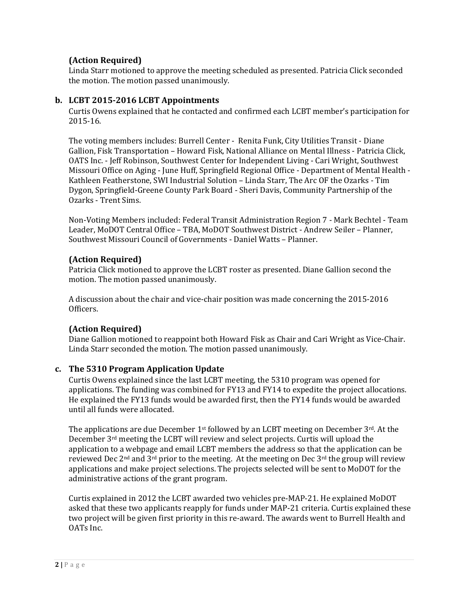## **(Action Required)**

Linda Starr motioned to approve the meeting scheduled as presented. Patricia Click seconded the motion. The motion passed unanimously.

#### **b. LCBT 2015‐2016 LCBT Appointments**

Curtis Owens explained that he contacted and confirmed each LCBT member's participation for 2015‐16. 

The voting members includes: Burrell Center - Renita Funk, City Utilities Transit - Diane Gallion, Fisk Transportation – Howard Fisk, National Alliance on Mental Illness - Patricia Click, OATS Inc. - Jeff Robinson, Southwest Center for Independent Living - Cari Wright, Southwest Missouri Office on Aging - June Huff, Springfield Regional Office - Department of Mental Health -Kathleen Featherstone, SWI Industrial Solution – Linda Starr, The Arc OF the Ozarks - Tim Dygon, Springfield-Greene County Park Board - Sheri Davis, Community Partnership of the Ozarks - Trent Sims.

Non-Voting Members included: Federal Transit Administration Region 7 - Mark Bechtel - Team Leader, MoDOT Central Office - TBA, MoDOT Southwest District - Andrew Seiler - Planner, Southwest Missouri Council of Governments - Daniel Watts – Planner.

## **(Action Required)**

Patricia Click motioned to approve the LCBT roster as presented. Diane Gallion second the motion. The motion passed unanimously.

A discussion about the chair and vice-chair position was made concerning the 2015-2016 Officers. 

## **(Action Required)**

Diane Gallion motioned to reappoint both Howard Fisk as Chair and Cari Wright as Vice-Chair. Linda Starr seconded the motion. The motion passed unanimously.

#### **c. The 5310 Program Application Update**

Curtis Owens explained since the last LCBT meeting, the 5310 program was opened for applications. The funding was combined for FY13 and FY14 to expedite the project allocations. He explained the FY13 funds would be awarded first, then the FY14 funds would be awarded until all funds were allocated.

The applications are due December  $1^{st}$  followed by an LCBT meeting on December  $3^{rd}$ . At the December  $3<sup>rd</sup>$  meeting the LCBT will review and select projects. Curtis will upload the application to a webpage and email LCBT members the address so that the application can be reviewed Dec  $2<sup>nd</sup>$  and  $3<sup>rd</sup>$  prior to the meeting. At the meeting on Dec  $3<sup>rd</sup>$  the group will review applications and make project selections. The projects selected will be sent to MoDOT for the administrative actions of the grant program.

Curtis explained in 2012 the LCBT awarded two vehicles pre-MAP-21. He explained  $MoDOT$ asked that these two applicants reapply for funds under MAP-21 criteria. Curtis explained these two project will be given first priority in this re-award. The awards went to Burrell Health and OATs Inc.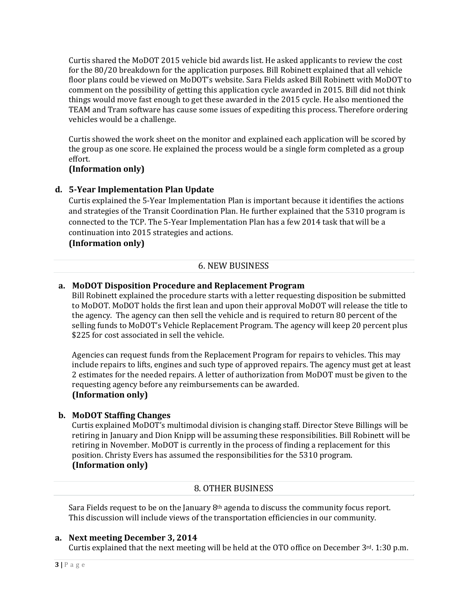Curtis shared the MoDOT 2015 vehicle bid awards list. He asked applicants to review the cost for the 80/20 breakdown for the application purposes. Bill Robinett explained that all vehicle floor plans could be viewed on MoDOT's website. Sara Fields asked Bill Robinett with MoDOT to comment on the possibility of getting this application cycle awarded in 2015. Bill did not think things would move fast enough to get these awarded in the 2015 cycle. He also mentioned the TEAM and Tram software has cause some issues of expediting this process. Therefore ordering vehicles would be a challenge.

Curtis showed the work sheet on the monitor and explained each application will be scored by the group as one score. He explained the process would be a single form completed as a group effort. 

#### **(Information only)**

#### **d. 5‐Year Implementation Plan Update**

Curtis explained the 5-Year Implementation Plan is important because it identifies the actions and strategies of the Transit Coordination Plan. He further explained that the 5310 program is connected to the TCP. The 5-Year Implementation Plan has a few 2014 task that will be a continuation into 2015 strategies and actions.

#### **(Information only)**

#### 6. NEW BUSINESS

#### **a. MoDOT Disposition Procedure and Replacement Program**

Bill Robinett explained the procedure starts with a letter requesting disposition be submitted to MoDOT. MoDOT holds the first lean and upon their approval MoDOT will release the title to the agency. The agency can then sell the vehicle and is required to return 80 percent of the selling funds to MoDOT's Vehicle Replacement Program. The agency will keep 20 percent plus \$225 for cost associated in sell the vehicle.

Agencies can request funds from the Replacement Program for repairs to vehicles. This may include repairs to lifts, engines and such type of approved repairs. The agency must get at least 2 estimates for the needed repairs. A letter of authorization from MoDOT must be given to the requesting agency before any reimbursements can be awarded. **(Information only)**

#### **b. MoDOT Staffing Changes**

Curtis explained MoDOT's multimodal division is changing staff. Director Steve Billings will be retiring in January and Dion Knipp will be assuming these responsibilities. Bill Robinett will be retiring in November. MoDOT is currently in the process of finding a replacement for this position. Christy Evers has assumed the responsibilities for the 5310 program. **(Information only)**

#### 8. OTHER BUSINESS

Sara Fields request to be on the January  $8<sup>th</sup>$  agenda to discuss the community focus report. This discussion will include views of the transportation efficiencies in our community.

#### **a. Next meeting December 3, 2014**

Curtis explained that the next meeting will be held at the OTO office on December  $3^{rd}$ . 1:30 p.m.